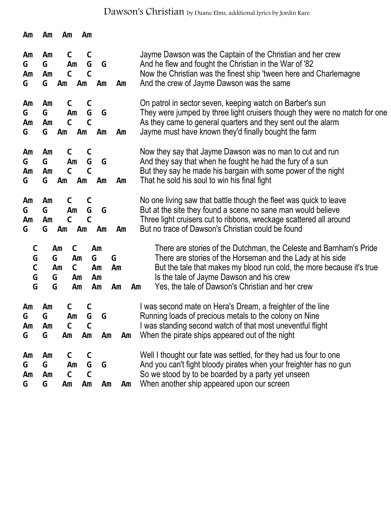Dawson's Christian by Duane Elms, additional lyrics by Jordin Kare

| Am                               | Am                      | Am                                  | Am                           |                           |               |                                                                                                                                                                                                                                                                                                                 |
|----------------------------------|-------------------------|-------------------------------------|------------------------------|---------------------------|---------------|-----------------------------------------------------------------------------------------------------------------------------------------------------------------------------------------------------------------------------------------------------------------------------------------------------------------|
| Am<br>G<br>Am<br>G               | Am<br>G<br>Am<br>G      | C<br>Am<br>$\mathsf{C}$<br>Am       | C<br>G<br>$\mathsf{C}$<br>Am | G<br>Am                   | Am            | Jayme Dawson was the Captain of the Christian and her crew<br>And he flew and fought the Christian in the War of '82<br>Now the Christian was the finest ship 'tween here and Charlemagne<br>And the crew of Jayme Dawson was the same                                                                          |
| Am<br>G<br>Am<br>G               | Am<br>G<br>Am<br>G      | C<br>Am<br>$\mathsf{C}$<br>Am       | C<br>G<br>$\mathsf C$<br>Am  | G<br>Am                   | Am            | On patrol in sector seven, keeping watch on Barber's sun<br>They were jumped by three light cruisers though they were no match for one<br>As they came to general quarters and they sent out the alarm<br>Jayme must have known they'd finally bought the farm                                                  |
| Am<br>G<br>Am<br>G               | Am<br>G<br>Am<br>G      | C<br>Am<br>$\mathsf{C}$<br>Am       | C<br>G<br>$\mathsf{C}$<br>Am | G<br>Am                   | Am            | Now they say that Jayme Dawson was no man to cut and run<br>And they say that when he fought he had the fury of a sun<br>But they say he made his bargain with some power of the night<br>That he sold his soul to win his final fight                                                                          |
| Am<br>G<br>Am<br>G               | Am<br>G<br>Am<br>G      | C<br>Am<br>$\mathsf{C}$<br>Am       | C<br>G<br>$\mathsf{C}$<br>Am | G<br>Am                   | Am            | No one living saw that battle though the fleet was quick to leave<br>But at the site they found a scene no sane man would believe<br>Three light cruisers cut to ribbons, wreckage scattered all around<br>But no trace of Dawson's Christian could be found                                                    |
| C<br>G<br>$\mathsf{C}$<br>G<br>G | Am<br>G<br>Am<br>G<br>G | C<br>Am<br>$\mathsf{C}$<br>Am<br>Am |                              | Am<br>G<br>Am<br>Am<br>Am | G<br>Am<br>Am | There are stories of the Dutchman, the Celeste and Barnham's Pride<br>There are stories of the Horseman and the Lady at his side<br>But the tale that makes my blood run cold, the more because it's true<br>Is the tale of Jayme Dawson and his crew<br>Yes, the tale of Dawson's Christian and her crew<br>Am |
| Am<br>G<br>Am<br>G               | Am<br>G<br>Am<br>G      | C<br>Am<br>$\mathsf{C}$<br>Am       | G<br>$\mathsf{C}$<br>Am      | G<br>Am                   | Am            | I was second mate on Hera's Dream, a freighter of the line<br>Running loads of precious metals to the colony on Nine<br>I was standing second watch of that most uneventful flight<br>When the pirate ships appeared out of the night                                                                           |
| Am<br>G<br>Am<br>G               | Am<br>G<br>Am<br>G      | C<br>Am<br>C<br>Am                  | C<br>G<br>$\mathsf{C}$<br>Am | G<br>Am                   | Am            | Well I thought our fate was settled, for they had us four to one<br>And you can't fight bloody pirates when your freighter has no gun<br>So we stood by to be boarded by a party yet unseen<br>When another ship appeared upon our screen                                                                       |